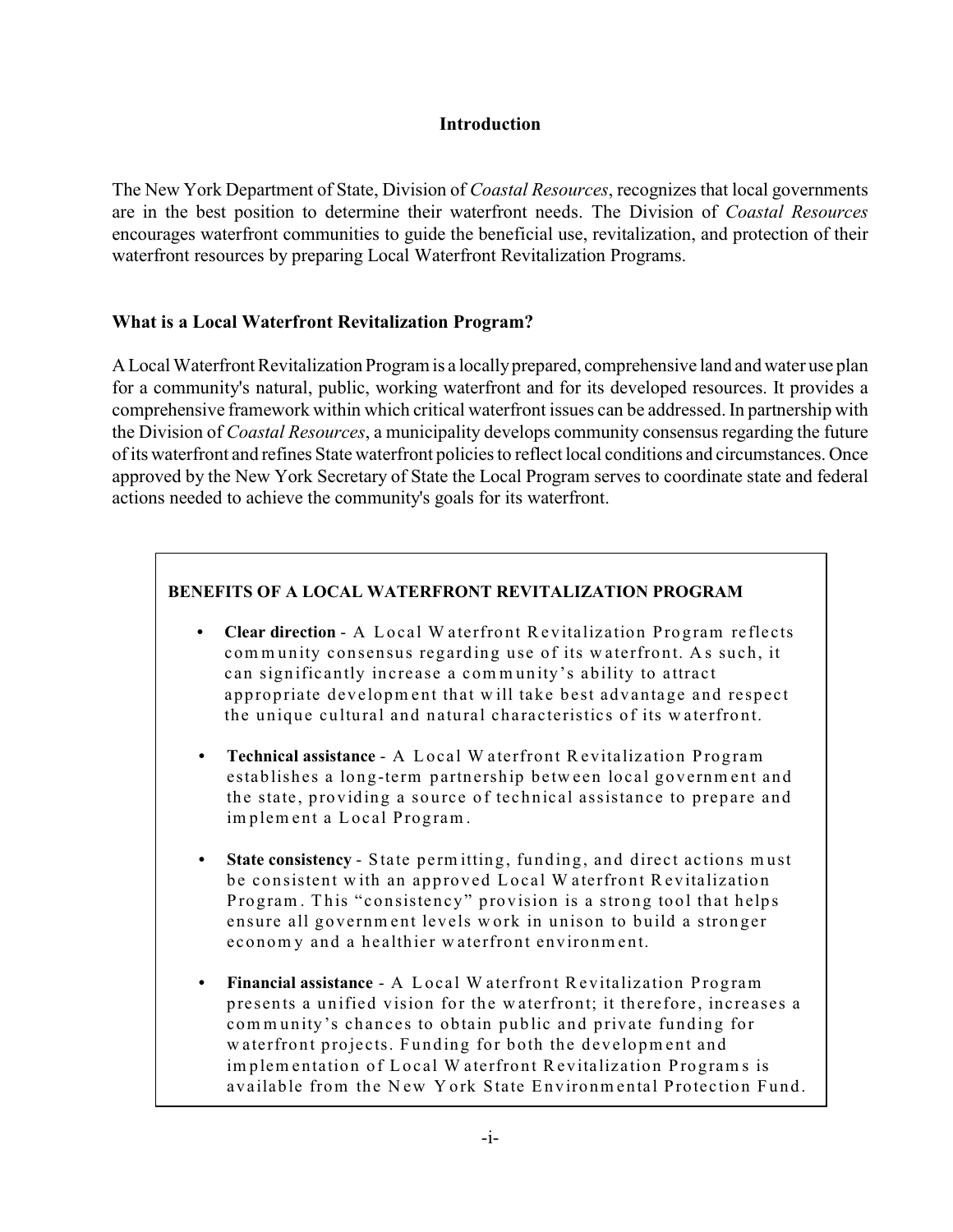## **Introduction**

The New York Department of State, Division of *Coastal Resources*, recognizes that local governments are in the best position to determine their waterfront needs. The Division of *Coastal Resources* encourages waterfront communities to guide the beneficial use, revitalization, and protection of their waterfront resources by preparing Local Waterfront Revitalization Programs.

## **What is a Local Waterfront Revitalization Program?**

A Local Waterfront Revitalization Program is a locally prepared, comprehensive land and water use plan for a community's natural, public, working waterfront and for its developed resources. It provides a comprehensive framework within which critical waterfront issues can be addressed. In partnership with the Division of *Coastal Resources*, a municipality develops community consensus regarding the future of its waterfront and refines State waterfront policies to reflect local conditions and circumstances. Once approved by the New York Secretary of State the Local Program serves to coordinate state and federal actions needed to achieve the community's goals for its waterfront.

## **BENEFITS OF A LOCAL WATERFRONT REVITALIZATION PROGRAM**

- Clear direction A Local W aterfront Revitalization Program reflects community consensus regarding use of its waterfront. As such, it can significantly increase a community's ability to attract appropriate development that will take best advantage and respect the unique cultural and natural characteristics of its waterfront.
- **Fechnical assistance A Local W aterfront Revitalization Program** establishes a long-term partnership between local government and the state, providing a source of technical assistance to prepare and implement a Local Program.
- **State consistency** State permitting, funding, and direct actions must be consistent with an approved Local Waterfront Revitalization Program. This "consistency" provision is a strong tool that helps ensure all government levels work in unison to build a stronger economy and a healthier waterfront environment.
- **Financial assistance** A Local W aterfront Revitalization Program presents a unified vision for the waterfront; it therefore, increases a community's chances to obtain public and private funding for w aterfront projects. Funding for both the development and im plem entation of Local W aterfront Revitalization Programs is available from the New York State Environmental Protection Fund.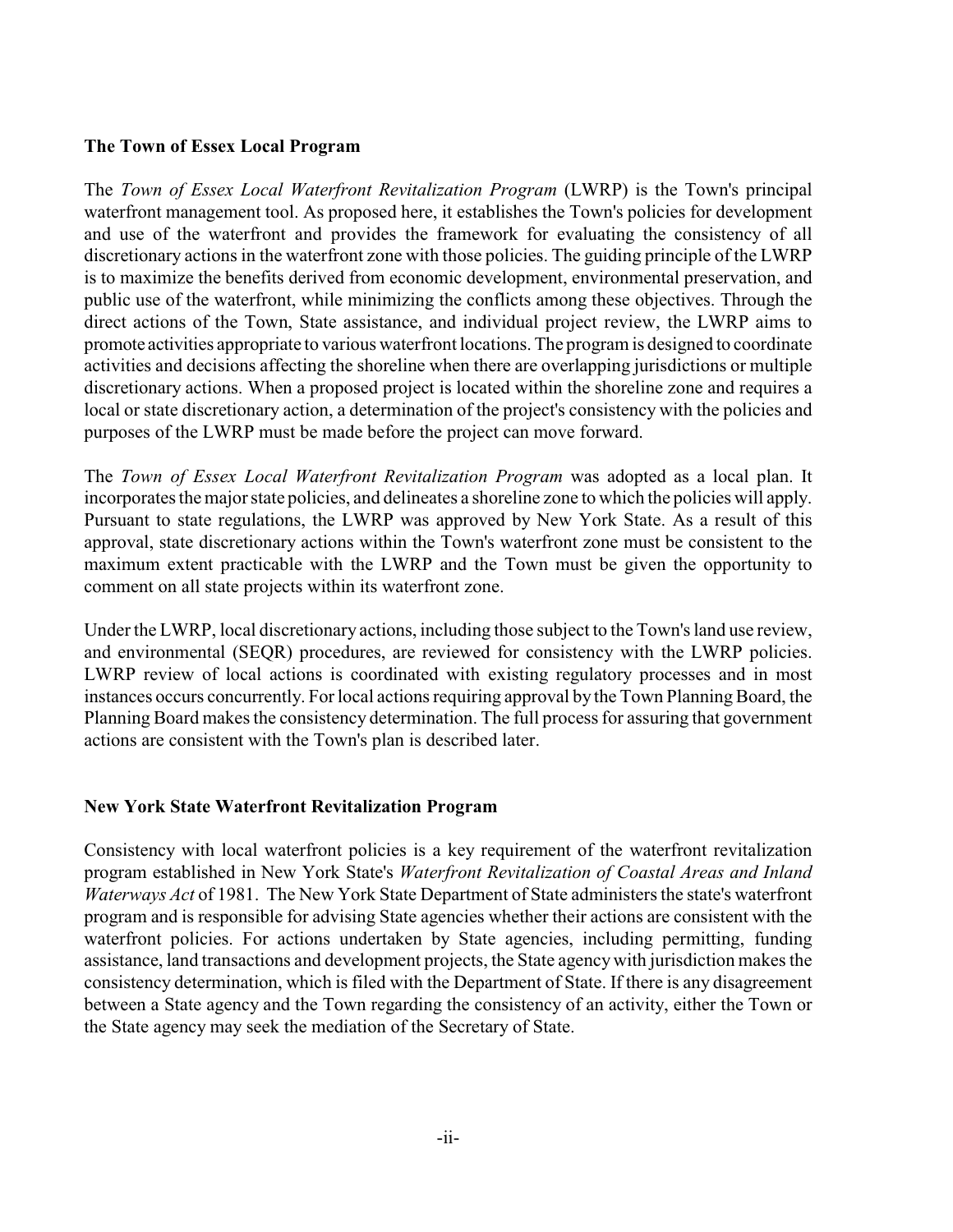## **The Town of Essex Local Program**

The *Town of Essex Local Waterfront Revitalization Program* (LWRP) is the Town's principal waterfront management tool. As proposed here, it establishes the Town's policies for development and use of the waterfront and provides the framework for evaluating the consistency of all discretionary actions in the waterfront zone with those policies. The guiding principle of the LWRP is to maximize the benefits derived from economic development, environmental preservation, and public use of the waterfront, while minimizing the conflicts among these objectives. Through the direct actions of the Town, State assistance, and individual project review, the LWRP aims to promote activities appropriate to various waterfront locations. The program is designed to coordinate activities and decisions affecting the shoreline when there are overlapping jurisdictions or multiple discretionary actions. When a proposed project is located within the shoreline zone and requires a local or state discretionary action, a determination of the project's consistency with the policies and purposes of the LWRP must be made before the project can move forward.

The *Town of Essex Local Waterfront Revitalization Program* was adopted as a local plan. It incorporates the major state policies, and delineates a shoreline zone to which the policies will apply. Pursuant to state regulations, the LWRP was approved by New York State. As a result of this approval, state discretionary actions within the Town's waterfront zone must be consistent to the maximum extent practicable with the LWRP and the Town must be given the opportunity to comment on all state projects within its waterfront zone.

Under the LWRP, local discretionary actions, including those subject to the Town's land use review, and environmental (SEQR) procedures, are reviewed for consistency with the LWRP policies. LWRP review of local actions is coordinated with existing regulatory processes and in most instances occurs concurrently. Forlocal actions requiring approval by the Town Planning Board, the Planning Board makes the consistency determination. The full process for assuring that government actions are consistent with the Town's plan is described later.

#### **New York State Waterfront Revitalization Program**

Consistency with local waterfront policies is a key requirement of the waterfront revitalization program established in New York State's *Waterfront Revitalization of Coastal Areas and Inland Waterways Act* of 1981. The New York State Department of State administers the state's waterfront program and is responsible for advising State agencies whether their actions are consistent with the waterfront policies. For actions undertaken by State agencies, including permitting, funding assistance, land transactions and development projects, the State agency with jurisdiction makes the consistency determination, which is filed with the Department of State. If there is any disagreement between a State agency and the Town regarding the consistency of an activity, either the Town or the State agency may seek the mediation of the Secretary of State.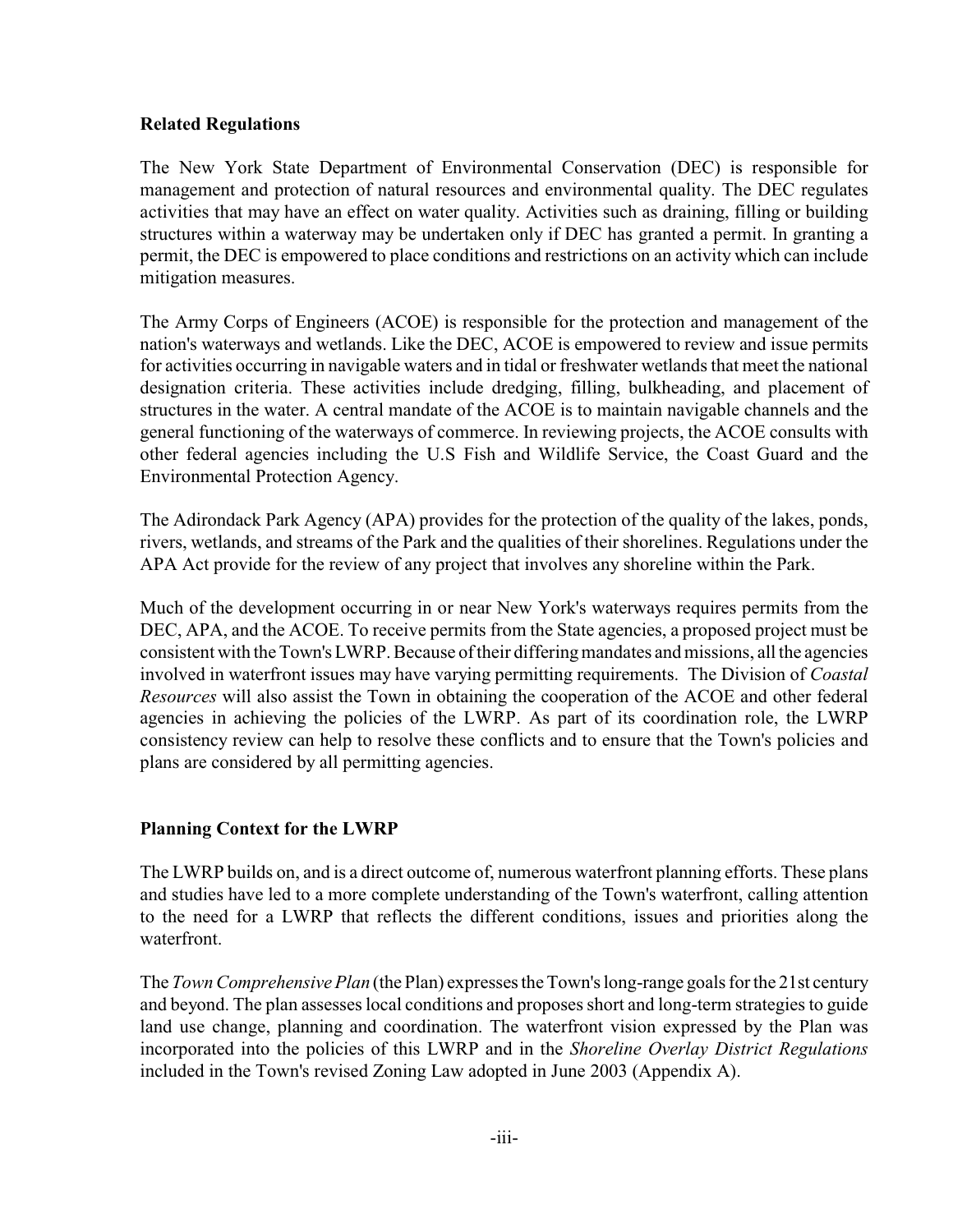## **Related Regulations**

The New York State Department of Environmental Conservation (DEC) is responsible for management and protection of natural resources and environmental quality. The DEC regulates activities that may have an effect on water quality. Activities such as draining, filling or building structures within a waterway may be undertaken only if DEC has granted a permit. In granting a permit, the DEC is empowered to place conditions and restrictions on an activity which can include mitigation measures.

The Army Corps of Engineers (ACOE) is responsible for the protection and management of the nation's waterways and wetlands. Like the DEC, ACOE is empowered to review and issue permits for activities occurring in navigable waters and in tidal or freshwater wetlands that meet the national designation criteria. These activities include dredging, filling, bulkheading, and placement of structures in the water. A central mandate of the ACOE is to maintain navigable channels and the general functioning of the waterways of commerce. In reviewing projects, the ACOE consults with other federal agencies including the U.S Fish and Wildlife Service, the Coast Guard and the Environmental Protection Agency.

The Adirondack Park Agency (APA) provides for the protection of the quality of the lakes, ponds, rivers, wetlands, and streams of the Park and the qualities of their shorelines. Regulations under the APA Act provide for the review of any project that involves any shoreline within the Park.

Much of the development occurring in or near New York's waterways requires permits from the DEC, APA, and the ACOE. To receive permits from the State agencies, a proposed project must be consistent with the Town's LWRP. Because of their differing mandates and missions, all the agencies involved in waterfront issues may have varying permitting requirements. The Division of *Coastal Resources* will also assist the Town in obtaining the cooperation of the ACOE and other federal agencies in achieving the policies of the LWRP. As part of its coordination role, the LWRP consistency review can help to resolve these conflicts and to ensure that the Town's policies and plans are considered by all permitting agencies.

# **Planning Context for the LWRP**

The LWRP builds on, and is a direct outcome of, numerous waterfront planning efforts. These plans and studies have led to a more complete understanding of the Town's waterfront, calling attention to the need for a LWRP that reflects the different conditions, issues and priorities along the waterfront.

The *Town Comprehensive Plan* (the Plan) expresses the Town's long-range goals for the 21st century and beyond. The plan assesses local conditions and proposes short and long-term strategies to guide land use change, planning and coordination. The waterfront vision expressed by the Plan was incorporated into the policies of this LWRP and in the *Shoreline Overlay District Regulations* included in the Town's revised Zoning Law adopted in June 2003 (Appendix A).